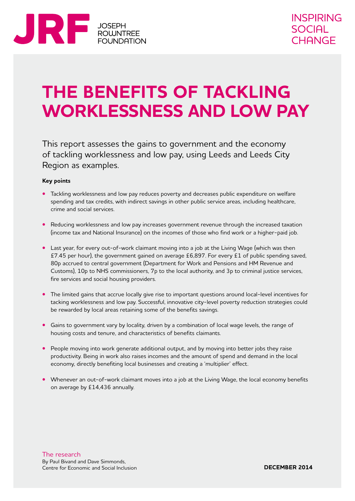

# **THE BENEFITS OF TACKLING WORKLESSNESS AND LOW PAY**

This report assesses the gains to government and the economy of tackling worklessness and low pay, using Leeds and Leeds City Region as examples.

#### **Key points**

- **•** Tackling worklessness and low pay reduces poverty and decreases public expenditure on welfare spending and tax credits, with indirect savings in other public service areas, including healthcare, crime and social services.
- **•** Reducing worklessness and low pay increases government revenue through the increased taxation (income tax and National Insurance) on the incomes of those who find work or a higher-paid job.
- **•** Last year, for every out-of-work claimant moving into a job at the Living Wage (which was then £7.45 per hour), the government gained on average £6,897. For every £1 of public spending saved, 80p accrued to central government (Department for Work and Pensions and HM Revenue and Customs), 10p to NHS commissioners, 7p to the local authority, and 3p to criminal justice services, fire services and social housing providers.
- **•** The limited gains that accrue locally give rise to important questions around local-level incentives for tacking worklessness and low pay. Successful, innovative city-level poverty reduction strategies could be rewarded by local areas retaining some of the benefits savings.
- **•** Gains to government vary by locality, driven by a combination of local wage levels, the range of housing costs and tenure, and characteristics of benefits claimants.
- People moving into work generate additional output, and by moving into better jobs they raise productivity. Being in work also raises incomes and the amount of spend and demand in the local economy, directly benefiting local businesses and creating a 'multiplier' effect.
- **•** Whenever an out-of-work claimant moves into a job at the Living Wage, the local economy benefits on average by £14,436 annually.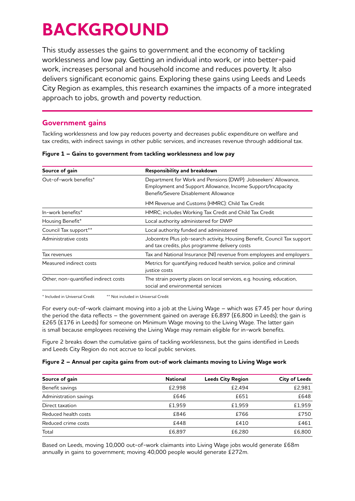# **BACKGROUND**

This study assesses the gains to government and the economy of tackling worklessness and low pay. Getting an individual into work, or into better-paid work, increases personal and household income and reduces poverty. It also delivers significant economic gains. Exploring these gains using Leeds and Leeds City Region as examples, this research examines the impacts of a more integrated approach to jobs, growth and poverty reduction.

## **Government gains**

Tackling worklessness and low pay reduces poverty and decreases public expenditure on welfare and tax credits, with indirect savings in other public services, and increases revenue through additional tax.

| Figure 1 - Gains to government from tackling worklessness and low pay |  |
|-----------------------------------------------------------------------|--|
|                                                                       |  |

| Source of gain                       | Responsibility and breakdown                                                                                                                                          |  |  |
|--------------------------------------|-----------------------------------------------------------------------------------------------------------------------------------------------------------------------|--|--|
| Out-of-work benefits*                | Department for Work and Pensions (DWP): Jobseekers' Allowance,<br>Employment and Support Allowance, Income Support/Incapacity<br>Benefit/Severe Disablement Allowance |  |  |
|                                      | HM Revenue and Customs (HMRC): Child Tax Credit                                                                                                                       |  |  |
| In-work benefits*                    | HMRC; includes Working Tax Credit and Child Tax Credit                                                                                                                |  |  |
| Housing Benefit*                     | Local authority administered for DWP                                                                                                                                  |  |  |
| Council Tax support**                | Local authority funded and administered                                                                                                                               |  |  |
| Administrative costs                 | Jobcentre Plus job-search activity, Housing Benefit, Council Tax support<br>and tax credits, plus programme delivery costs                                            |  |  |
| Tax revenues                         | Tax and National Insurance (NI) revenue from employees and employers                                                                                                  |  |  |
| Measured indirect costs              | Metrics for quantifying reduced health service, police and criminal<br>justice costs                                                                                  |  |  |
| Other, non-quantified indirect costs | The strain poverty places on local services, e.g. housing, education,<br>social and environmental services                                                            |  |  |

\* Included in Universal Credit \*\* Not included in Universal Credit

For every out-of-work claimant moving into a job at the Living Wage – which was £7.45 per hour during the period the data reflects – the government gained on average £6,897 (£6,800 in Leeds); the gain is £265 (£176 in Leeds) for someone on Minimum Wage moving to the Living Wage. The latter gain is small because employees receiving the Living Wage may remain eligible for in-work benefits.

Figure 2 breaks down the cumulative gains of tackling worklessness, but the gains identified in Leeds and Leeds City Region do not accrue to local public services.

## **Figure 2 – Annual per capita gains from out-of work claimants moving to Living Wage work**

| Source of gain         | <b>National</b> | <b>Leeds City Region</b> | <b>City of Leeds</b> |
|------------------------|-----------------|--------------------------|----------------------|
| Benefit savings        | £2.998          | £2.494                   | £2,981               |
| Administration savings | £646            | £651                     | £648                 |
| Direct taxation        | £1.959          | £1.959                   | £1.959               |
| Reduced health costs   | £846            | £766                     | £750                 |
| Reduced crime costs    | £448            | £410                     | £461                 |
| Total                  | £6.897          | £6.280                   | £6,800               |

Based on Leeds, moving 10,000 out-of-work claimants into Living Wage jobs would generate £68m annually in gains to government; moving 40,000 people would generate £272m.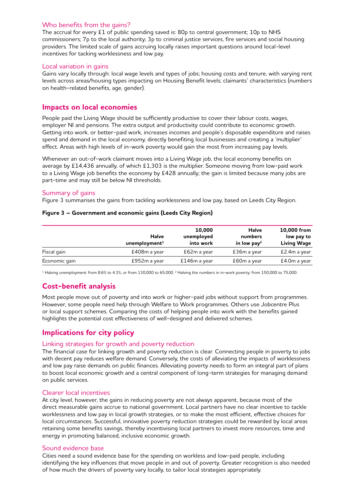## Who benefits from the gains?

The accrual for every £1 of public spending saved is: 80p to central government; 10p to NHS commissioners; 7p to the local authority; 3p to criminal justice services, fire services and social housing providers. The limited scale of gains accruing locally raises important questions around local-level incentives for tacking worklessness and low pay.

#### Local variation in gains

Gains vary locally through: local wage levels and types of jobs; housing costs and tenure, with varying rent levels across areas/housing types impacting on Housing Benefit levels; claimants' characteristics (numbers on health-related benefits, age, gender).

## **Impacts on local economies**

People paid the Living Wage should be sufficiently productive to cover their labour costs, wages, employer NI and pensions. The extra output and productivity could contribute to economic growth. Getting into work, or better-paid work, increases incomes and people's disposable expenditure and raises spend and demand in the local economy, directly benefiting local businesses and creating a 'multiplier' effect. Areas with high levels of in-work poverty would gain the most from increasing pay levels.

Whenever an out-of-work claimant moves into a Living Wage job, the local economy benefits on average by £14,436 annually, of which £1,303 is the multiplier. Someone moving from low-paid work to a Living Wage job benefits the economy by £428 annually; the gain is limited because many jobs are part-time and may still be below NI thresholds.

## Summary of gains

Figure 3 summarises the gains from tackling worklessness and low pay, based on Leeds City Region.

|  |  |  | Figure 3 - Government and economic gains (Leeds City Region) |
|--|--|--|--------------------------------------------------------------|
|--|--|--|--------------------------------------------------------------|

|               | Halve<br>unemboyment <sup>1</sup> | 10,000<br>unemployed<br>into work | <b>Halve</b><br>numbers<br>in low pay <sup>2</sup> | 10,000 from<br>low pay to<br><b>Living Wage</b> |
|---------------|-----------------------------------|-----------------------------------|----------------------------------------------------|-------------------------------------------------|
| Fiscal gain   | £408m a year                      | £62m a year                       | £36m a year                                        | £2.4m a year                                    |
| Economic gain | £952m a year                      | £146m a year                      | £60m a year                                        | £4.0m a year                                    |

<sup>1</sup> Halving unemployment: from 8.6% to 4.3%, or from 130,000 to 65,000. 2 Halving the numbers in in-work poverty: from 150,000 to 75,000.

# **Cost-benefit analysis**

Most people move out of poverty and into work or higher-paid jobs without support from programmes. However, some people need help through Welfare to Work programmes. Others use Jobcentre Plus or local support schemes. Comparing the costs of helping people into work with the benefits gained highlights the potential cost effectiveness of well-designed and delivered schemes.

# **Implications for city policy**

## Linking strategies for growth and poverty reduction

The financial case for linking growth and poverty reduction is clear. Connecting people in poverty to jobs with decent pay reduces welfare demand. Conversely, the costs of alleviating the impacts of worklessness and low pay raise demands on public finances. Alleviating poverty needs to form an integral part of plans to boost local economic growth and a central component of long-term strategies for managing demand on public services.

## Clearer local incentives

At city level, however, the gains in reducing poverty are not always apparent, because most of the direct measurable gains accrue to national government. Local partners have no clear incentive to tackle worklessness and low pay in local growth strategies, or to make the most efficient, effective choices for local circumstances. Successful, innovative poverty reduction strategies could be rewarded by local areas retaining some benefits savings, thereby incentivising local partners to invest more resources, time and energy in promoting balanced, inclusive economic growth.

## Sound evidence base

Cities need a sound evidence base for the spending on workless and low-paid people, including identifying the key influences that move people in and out of poverty. Greater recognition is also needed of how much the drivers of poverty vary locally, to tailor local strategies appropriately.